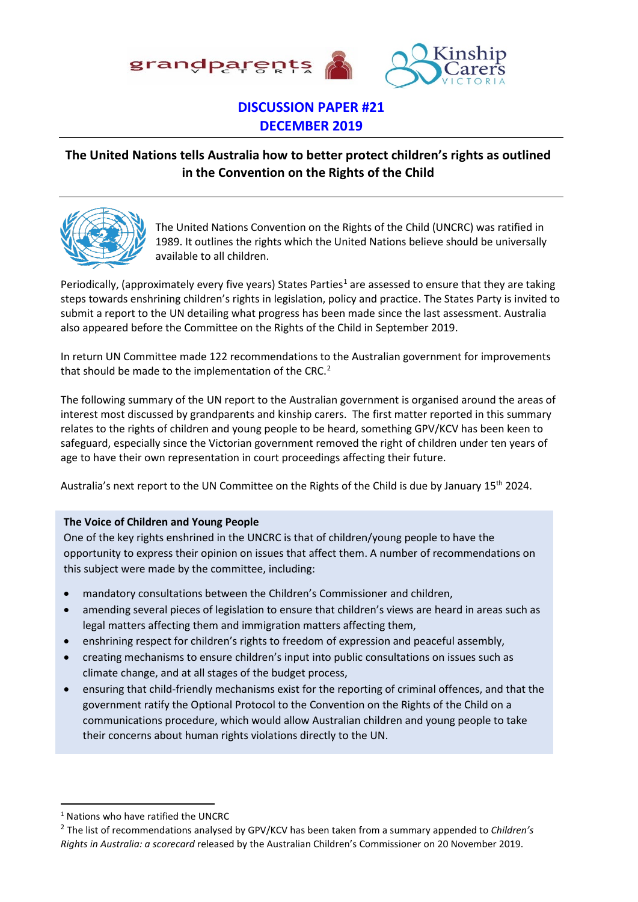

#### **DISCUSSION PAPER #21 DECEMBER 2019**

#### **The United Nations tells Australia how to better protect children's rights as outlined in the Convention on the Rights of the Child**



The United Nations Convention on the Rights of the Child (UNCRC) was ratified in 1989. It outlines the rights which the United Nations believe should be universally available to all children.

Periodically, (approximately every five years) States Parties<sup>[1](#page-0-0)</sup> are assessed to ensure that they are taking steps towards enshrining children's rights in legislation, policy and practice. The States Party is invited to submit a report to the UN detailing what progress has been made since the last assessment. Australia also appeared before the Committee on the Rights of the Child in September 2019.

In return UN Committee made 122 recommendations to the Australian government for improvements that should be made to the implementation of the CRC.<sup>[2](#page-0-1)</sup>

The following summary of the UN report to the Australian government is organised around the areas of interest most discussed by grandparents and kinship carers. The first matter reported in this summary relates to the rights of children and young people to be heard, something GPV/KCV has been keen to safeguard, especially since the Victorian government removed the right of children under ten years of age to have their own representation in court proceedings affecting their future.

Australia's next report to the UN Committee on the Rights of the Child is due by January 15<sup>th</sup> 2024.

#### **The Voice of Children and Young People**

One of the key rights enshrined in the UNCRC is that of children/young people to have the opportunity to express their opinion on issues that affect them. A number of recommendations on this subject were made by the committee, including:

- mandatory consultations between the Children's Commissioner and children,
- amending several pieces of legislation to ensure that children's views are heard in areas such as legal matters affecting them and immigration matters affecting them,
- enshrining respect for children's rights to freedom of expression and peaceful assembly,
- creating mechanisms to ensure children's input into public consultations on issues such as climate change, and at all stages of the budget process,
- ensuring that child-friendly mechanisms exist for the reporting of criminal offences, and that the government ratify the Optional Protocol to the Convention on the Rights of the Child on a communications procedure, which would allow Australian children and young people to take their concerns about human rights violations directly to the UN.

<span id="page-0-0"></span><sup>1</sup> Nations who have ratified the UNCRC

<span id="page-0-1"></span><sup>2</sup> The list of recommendations analysed by GPV/KCV has been taken from a summary appended to *Children's Rights in Australia: a scorecard* released by the Australian Children's Commissioner on 20 November 2019.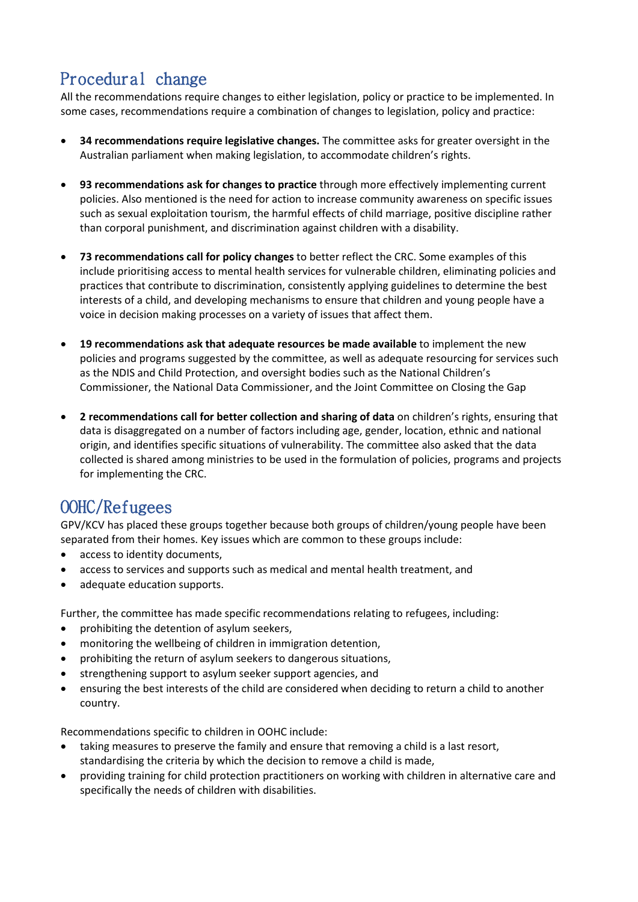# Procedural change

All the recommendations require changes to either legislation, policy or practice to be implemented. In some cases, recommendations require a combination of changes to legislation, policy and practice:

- **34 recommendations require legislative changes.** The committee asks for greater oversight in the Australian parliament when making legislation, to accommodate children's rights.
- **93 recommendations ask for changes to practice** through more effectively implementing current policies. Also mentioned is the need for action to increase community awareness on specific issues such as sexual exploitation tourism, the harmful effects of child marriage, positive discipline rather than corporal punishment, and discrimination against children with a disability.
- **73 recommendations call for policy changes** to better reflect the CRC. Some examples of this include prioritising access to mental health services for vulnerable children, eliminating policies and practices that contribute to discrimination, consistently applying guidelines to determine the best interests of a child, and developing mechanisms to ensure that children and young people have a voice in decision making processes on a variety of issues that affect them.
- **19 recommendations ask that adequate resources be made available** to implement the new policies and programs suggested by the committee, as well as adequate resourcing for services such as the NDIS and Child Protection, and oversight bodies such as the National Children's Commissioner, the National Data Commissioner, and the Joint Committee on Closing the Gap
- **2 recommendations call for better collection and sharing of data** on children's rights, ensuring that data is disaggregated on a number of factors including age, gender, location, ethnic and national origin, and identifies specific situations of vulnerability. The committee also asked that the data collected is shared among ministries to be used in the formulation of policies, programs and projects for implementing the CRC.

#### OOHC/Refugees

GPV/KCV has placed these groups together because both groups of children/young people have been separated from their homes. Key issues which are common to these groups include:

- access to identity documents,
- access to services and supports such as medical and mental health treatment, and
- adequate education supports.

Further, the committee has made specific recommendations relating to refugees, including:

- prohibiting the detention of asylum seekers,
- monitoring the wellbeing of children in immigration detention,
- prohibiting the return of asylum seekers to dangerous situations,
- strengthening support to asylum seeker support agencies, and
- ensuring the best interests of the child are considered when deciding to return a child to another country.

Recommendations specific to children in OOHC include:

- taking measures to preserve the family and ensure that removing a child is a last resort, standardising the criteria by which the decision to remove a child is made,
- providing training for child protection practitioners on working with children in alternative care and specifically the needs of children with disabilities.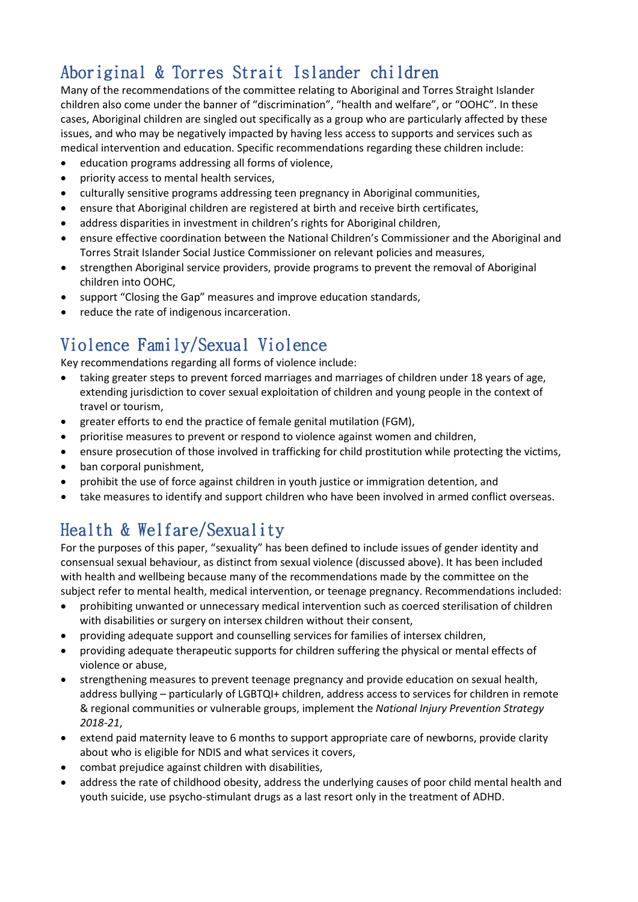# Aboriginal & Torres Strait Islander children

Many of the recommendations of the committee relating to Aboriginal and Torres Straight Islander children also come under the banner of "discrimination", "health and welfare", or "OOHC". In these cases, Aboriginal children are singled out specifically as a group who are particularly affected by these issues, and who may be negatively impacted by having less access to supports and services such as medical intervention and education. Specific recommendations regarding these children include:

- education programs addressing all forms of violence,
- priority access to mental health services,
- culturally sensitive programs addressing teen pregnancy in Aboriginal communities,
- ensure that Aboriginal children are registered at birth and receive birth certificates,
- address disparities in investment in children's rights for Aboriginal children,
- ensure effective coordination between the National Children's Commissioner and the Aboriginal and Torres Strait Islander Social Justice Commissioner on relevant policies and measures,
- strengthen Aboriginal service providers, provide programs to prevent the removal of Aboriginal children into OOHC,
- support "Closing the Gap" measures and improve education standards,
- reduce the rate of indigenous incarceration.

# Violence Family/Sexual Violence

Key recommendations regarding all forms of violence include:

- taking greater steps to prevent forced marriages and marriages of children under 18 years of age, extending jurisdiction to cover sexual exploitation of children and young people in the context of travel or tourism,
- greater efforts to end the practice of female genital mutilation (FGM),
- prioritise measures to prevent or respond to violence against women and children,
- ensure prosecution of those involved in trafficking for child prostitution while protecting the victims,
- ban corporal punishment,
- prohibit the use of force against children in youth justice or immigration detention, and
- take measures to identify and support children who have been involved in armed conflict overseas.

### Health & Welfare/Sexuality

For the purposes of this paper, "sexuality" has been defined to include issues of gender identity and consensual sexual behaviour, as distinct from sexual violence (discussed above). It has been included with health and wellbeing because many of the recommendations made by the committee on the subject refer to mental health, medical intervention, or teenage pregnancy. Recommendations included:

- prohibiting unwanted or unnecessary medical intervention such as coerced sterilisation of children with disabilities or surgery on intersex children without their consent,
- providing adequate support and counselling services for families of intersex children,
- providing adequate therapeutic supports for children suffering the physical or mental effects of violence or abuse,
- strengthening measures to prevent teenage pregnancy and provide education on sexual health, address bullying – particularly of LGBTQI+ children, address access to services for children in remote & regional communities or vulnerable groups, implement the *National Injury Prevention Strategy 2018-21*,
- extend paid maternity leave to 6 months to support appropriate care of newborns, provide clarity about who is eligible for NDIS and what services it covers,
- combat prejudice against children with disabilities,
- address the rate of childhood obesity, address the underlying causes of poor child mental health and youth suicide, use psycho-stimulant drugs as a last resort only in the treatment of ADHD.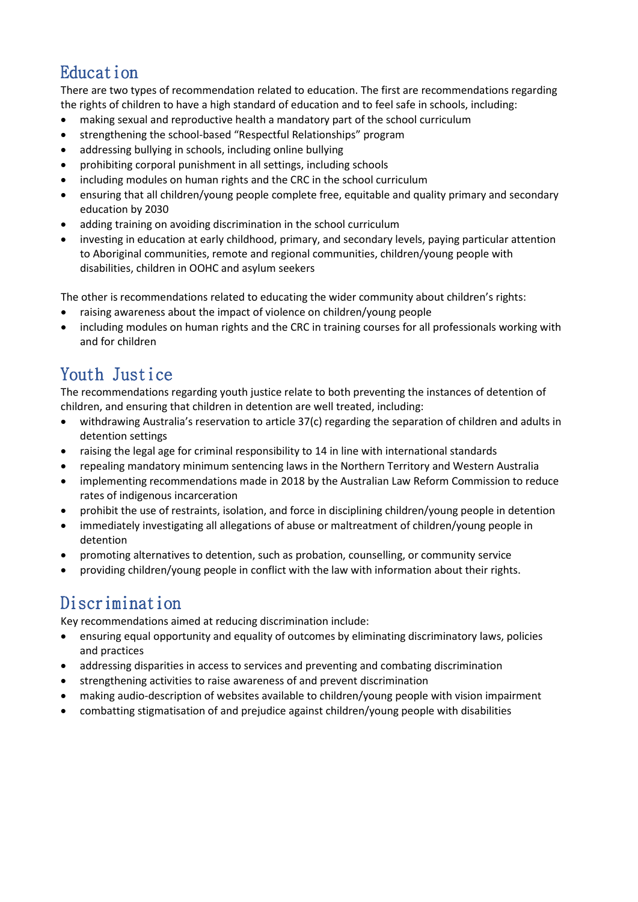# Education

There are two types of recommendation related to education. The first are recommendations regarding the rights of children to have a high standard of education and to feel safe in schools, including:

- making sexual and reproductive health a mandatory part of the school curriculum
- strengthening the school-based "Respectful Relationships" program
- addressing bullying in schools, including online bullying
- prohibiting corporal punishment in all settings, including schools
- including modules on human rights and the CRC in the school curriculum
- ensuring that all children/young people complete free, equitable and quality primary and secondary education by 2030
- adding training on avoiding discrimination in the school curriculum
- investing in education at early childhood, primary, and secondary levels, paying particular attention to Aboriginal communities, remote and regional communities, children/young people with disabilities, children in OOHC and asylum seekers

The other is recommendations related to educating the wider community about children's rights:

- raising awareness about the impact of violence on children/young people
- including modules on human rights and the CRC in training courses for all professionals working with and for children

# Youth Justice

The recommendations regarding youth justice relate to both preventing the instances of detention of children, and ensuring that children in detention are well treated, including:

- withdrawing Australia's reservation to article 37(c) regarding the separation of children and adults in detention settings
- raising the legal age for criminal responsibility to 14 in line with international standards
- repealing mandatory minimum sentencing laws in the Northern Territory and Western Australia
- implementing recommendations made in 2018 by the Australian Law Reform Commission to reduce rates of indigenous incarceration
- prohibit the use of restraints, isolation, and force in disciplining children/young people in detention
- immediately investigating all allegations of abuse or maltreatment of children/young people in detention
- promoting alternatives to detention, such as probation, counselling, or community service
- providing children/young people in conflict with the law with information about their rights.

### Discrimination

Key recommendations aimed at reducing discrimination include:

- ensuring equal opportunity and equality of outcomes by eliminating discriminatory laws, policies and practices
- addressing disparities in access to services and preventing and combating discrimination
- strengthening activities to raise awareness of and prevent discrimination
- making audio-description of websites available to children/young people with vision impairment
- combatting stigmatisation of and prejudice against children/young people with disabilities